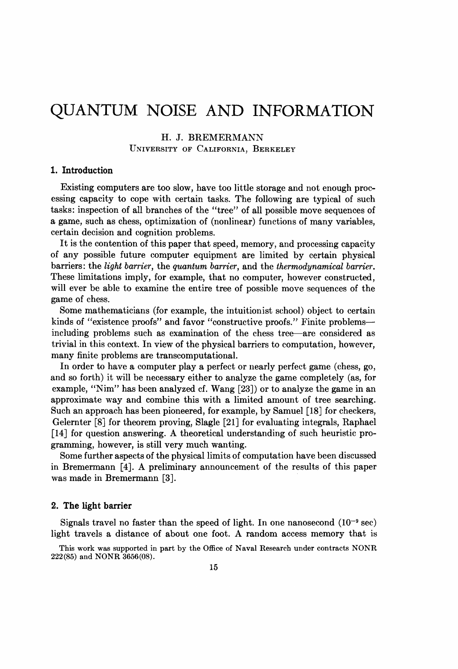# QUANTUM NOISE AND INFORMATION

# H. J. BREMERMANN UNIVERSITY OF CALIFORNIA, BERKELEY

# 1. Introduction

Existing computers are too slow, have too little storage and not enough processing capacity to cope with certain tasks. The following are typical of such tasks: inspection of all branches of the "tree" of all possible move sequences of a game, such as chess, optimization of (nonlinear) functions of many variables, certain decision and cognition problems.

It is the contention of this paper that speed, memory, and processing capacity of any possible future computer equipment are limited by certain physical barriers: the light barrier, the quantum barrier, and the thermodynamical barrier. These limitations imply, for example, that no computer, however constructed, will ever be able to examine the entire tree of possible move sequences of the game of chess.

Some mathematicians (for example, the intuitionist school) object to certain kinds of "existence proofs" and favor "constructive proofs." Finite problemsincluding problems such as examination of the chess tree-are considered as trivial in this context. In view of the physical barriers to computation, however, many finite problems are transcomputational.

In order to have a computer play a perfect or inearly perfect game (chess, go, and so forth) it will be necessary either to analyze the game completely (as, for example, "Nim" has been analyzed cf. Wang [23]) or to analyze the game in an approximate way and combine this with a limited amount of tree searching. Such an approach has been pioneered, for example, by Samuel [18] for checkers, Gelernter [8] for theorem proving, Slagle [21] for evaluating integrals, Raphael [14] for question answering. A theoretical understanding of such heuristic programming, however, is still very much wanting.

Some further aspects of the physical limits of computation have been discussed in Bremermann [4]. A preliminary announcement of the results of this paper was made in Bremermann [3].

#### 2. The light barrier

Signals travel no faster than the speed of light. In one nanosecond  $(10^{-9} \text{ sec})$ light travels <sup>a</sup> distance of about one foot. A random access memory that is

This work was supported in part by the Office of Naval Research under contracts NONR 222(85) and NONR 3656(08).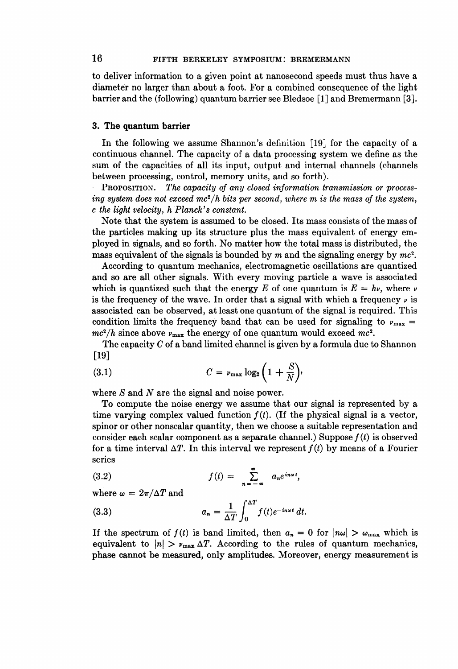to deliver information to a given point at nanosecond speeds must thus have a diameter no larger than about a foot. For a combined consequence of the light barrier and the (following) quantum barrier see Bledsoe [1] and Bremermann [3].

## 3. The quantum barrier

In the following we assume Shannon's definition [19] for the capacity of a continuous channel. The capacity of a data processing system we define as the sum of the capacities of all its input, output and internal channels (channels between processing, control, memory units, and so forth).

PROPOSITION. The capacity of any closed information transmission or processing system does not exceed  $mc^2/h$  bits per second, where m is the mass of the system, c the light velocity, h Planck's constant.

Note that the system is assumed to be closed. Its mass consists of the mass of the particles making up its structure plus the mass equivalent of energy employed in signals, and so forth. No matter how the total mass is distributed, the mass equivalent of the signals is bounded by m and the signaling energy by  $mc^2$ .

According to quantum mechanics, electromagnetic oscillations are quantized and so are all other signals. With every moving particle a wave is associated which is quantized such that the energy E of one quantum is  $E = hv$ , where v is the frequency of the wave. In order that a signal with which a frequency  $\nu$  is associated can be observed, at least one quantum of the signal is required. This condition limits the frequency band that can be used for signaling to  $\nu_{\text{max}} =$  $mc^2/h$  since above  $\nu_{\text{max}}$  the energy of one quantum would exceed  $mc^2$ .

The capacity  $C$  of a band limited channel is given by a formula due to Shannon [19]

$$
(3.1) \tC = \nu_{\max} \log_2 \left( 1 + \frac{S}{N} \right),
$$

where  $S$  and  $N$  are the signal and noise power.

To compute the noise energy we assume that our signal is represented by a time varying complex valued function  $f(t)$ . (If the physical signal is a vector, spinor or other nonscalar quantity, then we choose a suitable representation and consider each scalar component as a separate channel.) Suppose  $f(t)$  is observed for a time interval  $\Delta T$ . In this interval we represent  $f(t)$  by means of a Fourier series

$$
(3.2) \t\t\t f(t) = \sum_{n=-\infty}^{\infty} a_n e^{in\omega t},
$$

where  $\omega = 2\pi/\Delta T$  and

(3.3) 
$$
a_n = \frac{1}{\Delta T} \int_0^{\Delta T} f(t) e^{-in\omega t} dt.
$$

If the spectrum of  $f(t)$  is band limited, then  $a_n = 0$  for  $|n\omega| > \omega_{\text{max}}$  which is equivalent to  $|n| > \nu_{\text{max}} \Delta T$ . According to the rules of quantum mechanics, phase cannot be measured, only amplitudes. Moreover, energy measurement is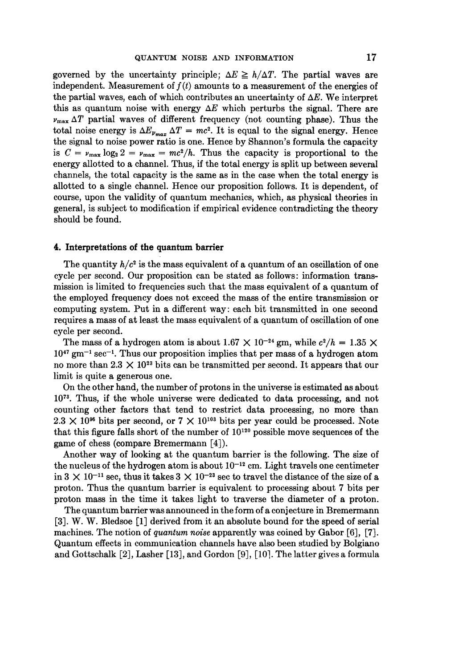governed by the uncertainty principle;  $\Delta E \ge h/\Delta T$ . The partial waves are independent. Measurement of  $f(t)$  amounts to a measurement of the energies of the partial waves, each of which contributes an uncertainty of  $\Delta E$ . We interpret this as quantum noise with energy  $\Delta E$  which perturbs the signal. There are  $\nu_{\text{max}} \Delta T$  partial waves of different frequency (not counting phase). Thus the total noise energy is  $\Delta E_{p_{max}} \Delta T = mc^2$ . It is equal to the signal energy. Hence the signal to noise power ratio is one. Hence by Shannon's formula the capacity is  $C = v_{\text{max}} \log_2 2 = v_{\text{max}} = mc^2/h$ . Thus the capacity is proportional to the energy allotted to a channel. Thus, if the total energy is split up between several channels, the total capacity is the same as in the case when the total energy is allotted to a single channel. Hence our proposition follows. It is dependent, of course, upon the validity of quantum mechanics, which, as physical theories in general, is subject to modification if empirical evidence contradicting the theory should be found.

#### 4. Interpretations of the quantum barrier

The quantity  $h/c^2$  is the mass equivalent of a quantum of an oscillation of one cycle per second. Our proposition can be stated as follows: information transmission is limited to frequencies such that the mass equivalent of a quantum of the employed frequency does not exceed the mass of the entire transmission or computing system. Put in a different way: each bit transmitted in one second requires a mass of at least the mass equivalent of a quantum of oscillation of one cycle per second.

The mass of a hydrogen atom is about 1.67  $\times$  10<sup>-24</sup> gm, while  $c^2/h = 1.35 \times$  $10^{47}$  gm<sup>-1</sup> sec<sup>-1</sup>. Thus our proposition implies that per mass of a hydrogen atom no more than 2.3  $\times$  10<sup>23</sup> bits can be transmitted per second. It appears that our limit is quite a generous one.

On the other hand, the number of protons in the universe is estimated as about 1073. Thus, if the whole universe were dedicated to data processing, and not counting other factors that tend to restrict data processing, no more than  $2.3 \times 10^{96}$  bits per second, or  $7 \times 10^{103}$  bits per year could be processed. Note that this figure falls short of the number of  $10^{120}$  possible move sequences of the game of chess (compare Bremermann [4]).

Another way of looking at the quantum barrier is the following. The size of the nucleus of the hydrogen atom is about  $10^{-12}$  cm. Light travels one centimeter in  $3 \times 10^{-11}$  sec, thus it takes  $3 \times 10^{-23}$  sec to travel the distance of the size of a proton. Thus the quantum barrier is equivalent to processing about 7 bits per proton mass in the time it takes light to traverse the diameter of a proton.

The quantum barrier was announced in the form of a conjecture in Bremermann [3]. W. W. Bledsoe [1] derived from it an absolute bound for the speed of serial machines. The notion of *quantum noise* apparently was coined by Gabor [6], [7]. Quantum effects in communication channels have also been studied by Bolgiano and Gottschalk  $[2]$ , Lasher  $[13]$ , and Gordon  $[9]$ ,  $[10]$ . The latter gives a formula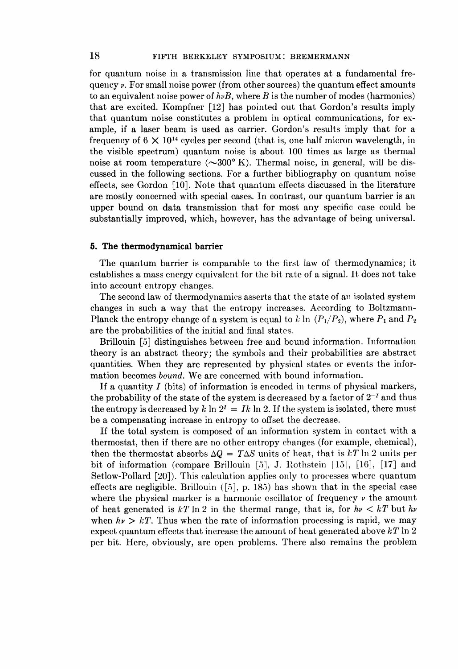for quantum noise in a transmission line that operates at a fundamental frequency  $\nu$ . For small noise power (from other sources) the quantum effect amounts to an equivalent noise power of  $h\nu B$ , where B is the number of modes (harmonics) that are excited. Kompfner [12] has pointed out that Gordon's results imply that quantum noise constitutes a problem in optical communications, for example, if a laser beam is used as carrier. Gordon's results imply that for a frequency of  $6 \times 10^{14}$  cycles per second (that is, one half micron wavelength, in the visible spectrum) quantum noise is about 100 times as large as thermal noise at room temperature  $(\sim 300^{\circ} \text{ K})$ . Thermal noise, in general, will be discussed in the following sections. For a further bibliography on quantum noise effects, see Gordon [10]. Note that quantum effects discussed in the literature are mostly concerned with special cases. In contrast, our quantum barrier is an upper bound on data transmission that for most any specific case could be substantially improved, which, however, has the advantage of being universal.

#### 5. The thermodynamical barrier

The quantum barrier is comparable to the first law of thermodynamics; it establishes a mass energy equivalent for the bit rate of a signal. It does not take into account entropy changes.

The second law of thermodynamics asserts that the state of an isolated system changes in such a way that the entropy increases. According to Boltzmann-Planck the entropy change of a system is equal to k ln  $(P_1/P_2)$ , where  $P_1$  and  $P_2$ are the probabilities of the initial and final states.

Brillouin [5] distinguishes between free and bound information. Information theory is an abstract theory; the symbols and their probabilities are abstract quantities. When they are represented by physical states or events the information becomes bound. We are concerned with bound information.

If a quantity  $I$  (bits) of information is encoded in terms of physical markers, the probability of the state of the system is decreased by a factor of  $2^{-1}$  and thus the entropy is decreased by k ln  $2^I = Ik \ln 2$ . If the system is isolated, there must be a compensating increase in entropy to offset the decrease.

If the total system is composed of an information system in contact with a thermostat, then if there are no other entropy changes (for example, chemical), then the thermostat absorbs  $\Delta Q = T \Delta S$  units of heat, that is kT ln 2 units per bit of information (compare Brillouin [5], J. Rothstein [15], [16], [17] and Setlow-Pollard [20]). This calculation applies only to processes where quantum effects are negligible. Brillouin ([5], p. 185) has shown that in the special case where the physical marker is a harmonic cscillator of frequency  $\nu$  the amount of heat generated is kT ln 2 in the thermal range, that is, for  $h\nu < kT$  but  $h\nu$ when  $h\nu > kT$ . Thus when the rate of information processing is rapid, we may expect quantum effects that increase the amount of heat generated above  $kT \ln 2$ per bit. Here, obviously, are open problems. There also remains the problem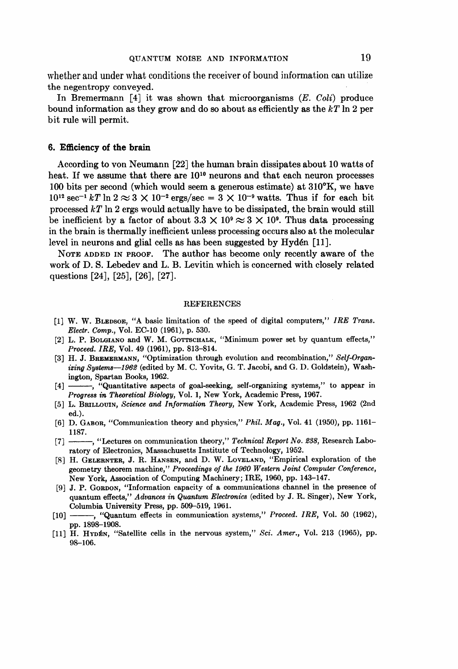whether and under what conditions the receiver of bound information can utilize the negentropy conveyed.

In Bremermann  $\lceil 4 \rceil$  it was shown that microorganisms  $(E. \text{Coli})$  produce bound information as they grow and do so about as efficiently as the  $kT \ln 2$  per bit rule will permit.

## 6. Efficiency of the brain

According to von Neumann [22] the human brain dissipates about 10 watts of heat. If we assume that there are  $10^{10}$  neurons and that each neuron processes 100 bits per second (which would seem a generous estimate) at 310°K, we have  $10^{12}$  sec<sup>-1</sup> kT ln  $2 \approx 3 \times 10^{-2}$  ergs/sec =  $3 \times 10^{-9}$  watts. Thus if for each bit processed  $kT$  ln 2 ergs would actually have to be dissipated, the brain would still be inefficient by a factor of about  $3.3 \times 10^9 \approx 3 \times 10^9$ . Thus data processing in the brain is thermally inefficient unless processing occurs also at the molecular level in neurons and glial cells as has been suggested by Hydén [11].

NOTE ADDED IN PROOF. The author has become only recently aware of the work of D. S. Lebedev and L. B. Levitin which is concerned with closely related questions [24], [25], [26], [27].

#### REFERENCES

- [1] W. W. BLEDSOE, "A basic limitation of the speed of digital computers," IRE Trans. Electr. Comp., Vol. EC-10 (1961), p. 530.
- [2] L. P. BOLGIANO and W. M. GOTTSCHALK, "Minimum power set by quantum effects," Proceed. IRE, Vol. 49 (1961), pp. 813-814.
- [3] H. J. BREMERMANN, "Optimization through evolution and recombination," Self-Organizing Systems-1962 (edited by M. C. Yovits, G. T. Jacobi, and G. D. Goldstein), Washington, Spartan Books, 1962.
- [4] ------, "Quantitative aspects of goal-seeking, self-organizing systems," to appear in Progress in Theoretical Biology, Vol. 1, New York, Academic Press, 1967.
- [5] L. BRILLOUIN, Science and Information Theory, New York, Academic Press, 1962 (2nd ed.).
- [6] D. GABOR, "Communication theory and physics," Phil. Mag., Vol. 41 (1950), pp. 1161-1187.
- [7]  $\rightarrow$  "Lectures on communication theory," Technical Report No. 238, Research Laboratory of Electronics, Massachusetts Institute of Technology, 1952.
- [8] H. GELERNTER, J. R. HANSEN, and D. W. LOVELAND, "Empirical exploration of the geometry theorem machine," Proceedings of the 1960 Western Joint Computer Conference, New York, Association of Computing Machinery; IRE, 1960, pp. 143-147.
- [9] J. P. GORDON, "Information capacity of a communications channel in the presence of quantum effects," Advances in Quantum Electronics (edited by J. R. Singer), New York, Columbia University Press, pp. 509-519, 1961.
- [10] -- , "Quantum effects in communication systems," Proceed. IRE, Vol. 50 (1962), pp. 1898-1908.
- [11] H. Hypén, "Satellite cells in the nervous system," Sci. Amer., Vol. 213 (1965), pp. 98-106.